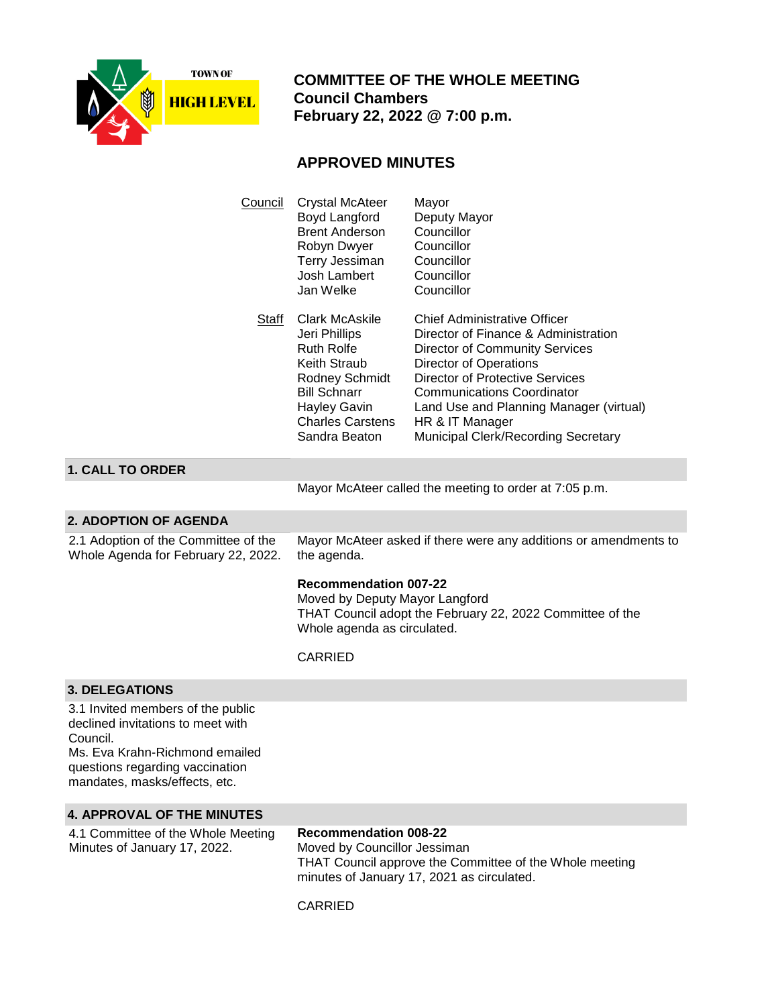

 **COMMITTEE OF THE WHOLE MEETING Council Chambers February 22, 2022 @ 7:00 p.m.**

# **APPROVED MINUTES**

| Council | Crystal McAteer<br>Boyd Langford<br><b>Brent Anderson</b><br>Robyn Dwyer<br>Terry Jessiman<br>Josh Lambert<br>Jan Welke                                                          | Mayor<br>Deputy Mayor<br>Councillor<br>Councillor<br>Councillor<br>Councillor<br>Councillor                                                                                                                                                                                                                                        |
|---------|----------------------------------------------------------------------------------------------------------------------------------------------------------------------------------|------------------------------------------------------------------------------------------------------------------------------------------------------------------------------------------------------------------------------------------------------------------------------------------------------------------------------------|
| Staff   | Clark McAskile<br>Jeri Phillips<br><b>Ruth Rolfe</b><br>Keith Straub<br>Rodney Schmidt<br><b>Bill Schnarr</b><br><b>Hayley Gavin</b><br><b>Charles Carstens</b><br>Sandra Beaton | <b>Chief Administrative Officer</b><br>Director of Finance & Administration<br><b>Director of Community Services</b><br><b>Director of Operations</b><br>Director of Protective Services<br>Communications Coordinator<br>Land Use and Planning Manager (virtual)<br>HR & IT Manager<br><b>Municipal Clerk/Recording Secretary</b> |

### **1. CALL TO ORDER**

Mayor McAteer called the meeting to order at 7:05 p.m.

### **2. ADOPTION OF AGENDA**

2.1 Adoption of the Committee of the Whole Agenda for February 22, 2022.

Mayor McAteer asked if there were any additions or amendments to the agenda.

### **Recommendation 007-22**

Moved by Deputy Mayor Langford THAT Council adopt the February 22, 2022 Committee of the Whole agenda as circulated.

### CARRIED

### **3. DELEGATIONS**

3.1 Invited members of the public declined invitations to meet with Council.

Ms. Eva Krahn-Richmond emailed questions regarding vaccination mandates, masks/effects, etc.

### **4. APPROVAL OF THE MINUTES**

4.1 Committee of the Whole Meeting Minutes of January 17, 2022.

**Recommendation 008-22** Moved by Councillor Jessiman THAT Council approve the Committee of the Whole meeting minutes of January 17, 2021 as circulated.

### CARRIED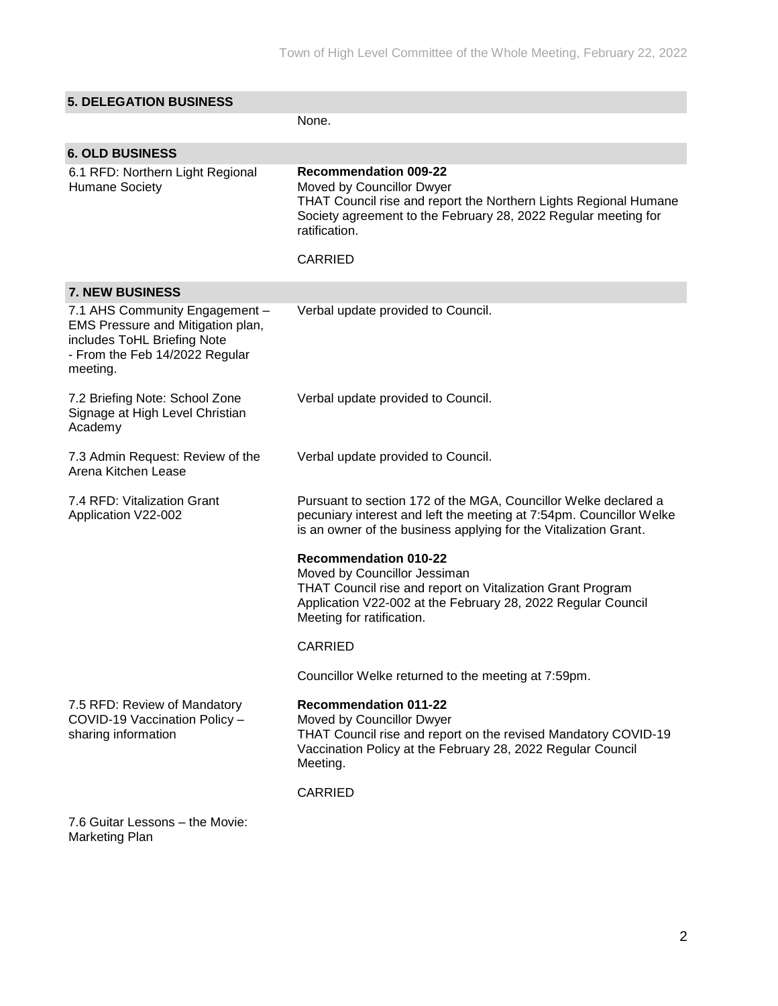| <b>5. DELEGATION BUSINESS</b>                                                                                                                    |                                                                                                                                                                                                                         |
|--------------------------------------------------------------------------------------------------------------------------------------------------|-------------------------------------------------------------------------------------------------------------------------------------------------------------------------------------------------------------------------|
|                                                                                                                                                  | None.                                                                                                                                                                                                                   |
| <b>6. OLD BUSINESS</b>                                                                                                                           |                                                                                                                                                                                                                         |
| 6.1 RFD: Northern Light Regional<br><b>Humane Society</b>                                                                                        | <b>Recommendation 009-22</b><br>Moved by Councillor Dwyer<br>THAT Council rise and report the Northern Lights Regional Humane<br>Society agreement to the February 28, 2022 Regular meeting for<br>ratification.        |
|                                                                                                                                                  | <b>CARRIED</b>                                                                                                                                                                                                          |
| <b>7. NEW BUSINESS</b>                                                                                                                           |                                                                                                                                                                                                                         |
| 7.1 AHS Community Engagement -<br>EMS Pressure and Mitigation plan,<br>includes ToHL Briefing Note<br>- From the Feb 14/2022 Regular<br>meeting. | Verbal update provided to Council.                                                                                                                                                                                      |
| 7.2 Briefing Note: School Zone<br>Signage at High Level Christian<br>Academy                                                                     | Verbal update provided to Council.                                                                                                                                                                                      |
| 7.3 Admin Request: Review of the<br>Arena Kitchen Lease                                                                                          | Verbal update provided to Council.                                                                                                                                                                                      |
| 7.4 RFD: Vitalization Grant<br>Application V22-002                                                                                               | Pursuant to section 172 of the MGA, Councillor Welke declared a<br>pecuniary interest and left the meeting at 7:54pm. Councillor Welke<br>is an owner of the business applying for the Vitalization Grant.              |
|                                                                                                                                                  | <b>Recommendation 010-22</b><br>Moved by Councillor Jessiman<br>THAT Council rise and report on Vitalization Grant Program<br>Application V22-002 at the February 28, 2022 Regular Council<br>Meeting for ratification. |
|                                                                                                                                                  | <b>CARRIED</b>                                                                                                                                                                                                          |
|                                                                                                                                                  | Councillor Welke returned to the meeting at 7:59pm.                                                                                                                                                                     |
| 7.5 RFD: Review of Mandatory<br>COVID-19 Vaccination Policy -<br>sharing information                                                             | <b>Recommendation 011-22</b><br>Moved by Councillor Dwyer<br>THAT Council rise and report on the revised Mandatory COVID-19<br>Vaccination Policy at the February 28, 2022 Regular Council<br>Meeting.                  |
|                                                                                                                                                  | <b>CARRIED</b>                                                                                                                                                                                                          |
| 7.6 Guitar Lessons - the Movie:                                                                                                                  |                                                                                                                                                                                                                         |

Marketing Plan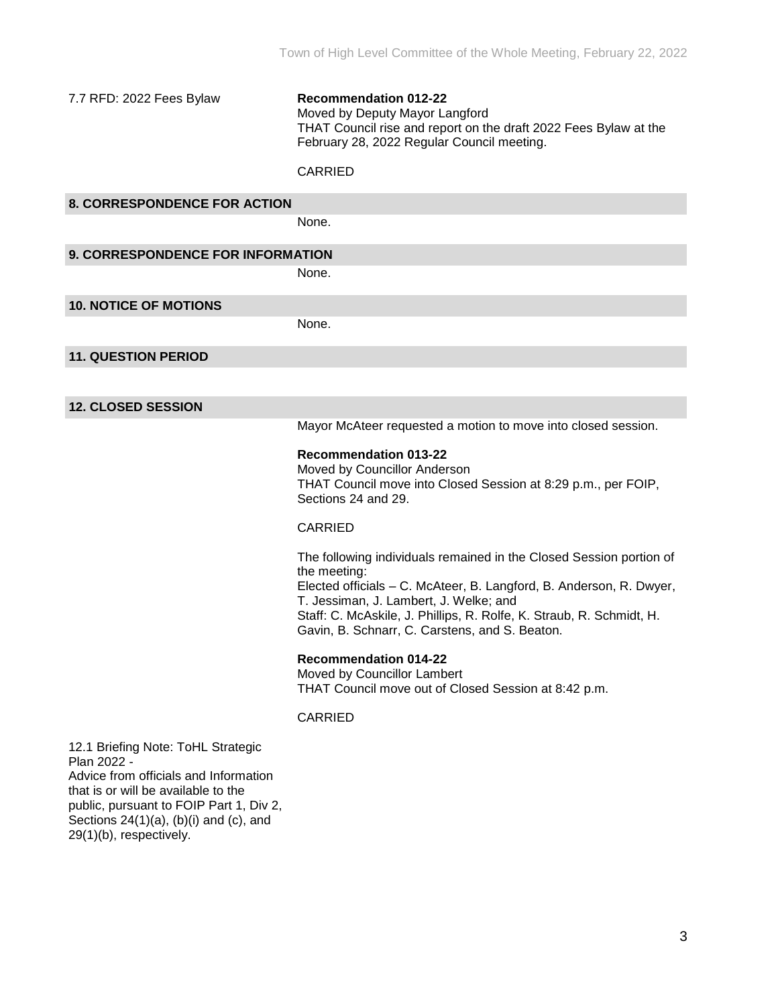7.7 RFD: 2022 Fees Bylaw **Recommendation 012-22** Moved by Deputy Mayor Langford THAT Council rise and report on the draft 2022 Fees Bylaw at the February 28, 2022 Regular Council meeting.

### CARRIED

| <b>8. CORRESPONDENCE FOR ACTION</b> |             |
|-------------------------------------|-------------|
|                                     | <b>None</b> |

**9. CORRESPONDENCE FOR INFORMATION**

None.

### **10. NOTICE OF MOTIONS**

None.

### **11. QUESTION PERIOD**

### **12. CLOSED SESSION**

Mayor McAteer requested a motion to move into closed session.

### **Recommendation 013-22**

Moved by Councillor Anderson THAT Council move into Closed Session at 8:29 p.m., per FOIP, Sections 24 and 29.

### CARRIED

The following individuals remained in the Closed Session portion of the meeting:

Elected officials – C. McAteer, B. Langford, B. Anderson, R. Dwyer, T. Jessiman, J. Lambert, J. Welke; and Staff: C. McAskile, J. Phillips, R. Rolfe, K. Straub, R. Schmidt, H.

Gavin, B. Schnarr, C. Carstens, and S. Beaton.

#### **Recommendation 014-22**

Moved by Councillor Lambert THAT Council move out of Closed Session at 8:42 p.m.

#### CARRIED

12.1 Briefing Note: ToHL Strategic Plan 2022 - Advice from officials and Information that is or will be available to the public, pursuant to FOIP Part 1, Div 2, Sections  $24(1)(a)$ ,  $(b)(i)$  and  $(c)$ , and 29(1)(b), respectively.